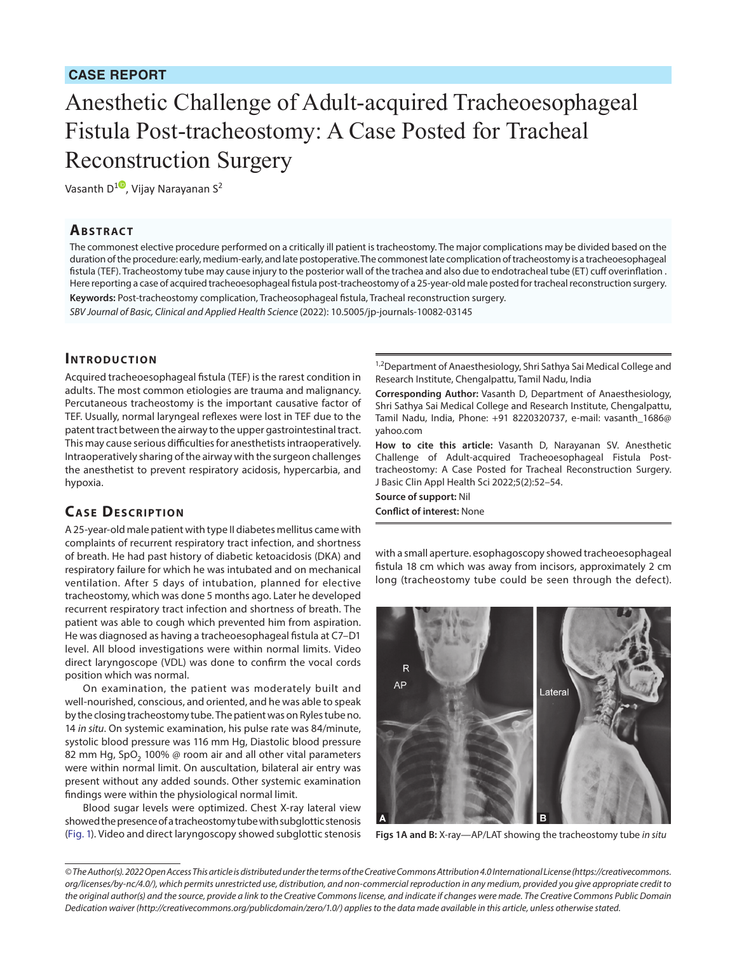### **CASE REPORT**

# Anesthetic Challenge of Adult-acquired Tracheoesophageal Fistula Post-tracheostomy: A Case Posted for Tracheal Reconstruction Surgery

Vasanth D<sup>[1](https://orcid.org/0000-0002-2466-4026)</sup>, Vijay Narayanan S<sup>2</sup>

#### **Ab s t rac t**

The commonest elective procedure performed on a critically ill patient is tracheostomy. The major complications may be divided based on the duration of the procedure: early, medium-early, and late postoperative. The commonest late complication of tracheostomy is a tracheoesophageal fistula (TEF). Tracheostomy tube may cause injury to the posterior wall of the trachea and also due to endotracheal tube (ET) cuff overinflation . Here reporting a case of acquired tracheoesophageal fistula post-tracheostomy of a 25-year-old male posted for tracheal reconstruction surgery. **Keywords:** Post-tracheostomy complication, Tracheosophageal fistula, Tracheal reconstruction surgery.

*SBV Journal of Basic, Clinical and Applied Health Science* (2022): 10.5005/jp-journals-10082-03145

#### **INTRODUCTION**

Acquired tracheoesophageal fistula (TEF) is the rarest condition in adults. The most common etiologies are trauma and malignancy. Percutaneous tracheostomy is the important causative factor of TEF. Usually, normal laryngeal reflexes were lost in TEF due to the patent tract between the airway to the upper gastrointestinal tract. This may cause serious difficulties for anesthetists intraoperatively. Intraoperatively sharing of the airway with the surgeon challenges the anesthetist to prevent respiratory acidosis, hypercarbia, and hypoxia.

#### **CASE DESCRIPTION**

A 25-year-old male patient with type II diabetes mellitus came with complaints of recurrent respiratory tract infection, and shortness of breath. He had past history of diabetic ketoacidosis (DKA) and respiratory failure for which he was intubated and on mechanical ventilation. After 5 days of intubation, planned for elective tracheostomy, which was done 5 months ago. Later he developed recurrent respiratory tract infection and shortness of breath. The patient was able to cough which prevented him from aspiration. He was diagnosed as having a tracheoesophageal fistula at C7–D1 level. All blood investigations were within normal limits. Video direct laryngoscope (VDL) was done to confirm the vocal cords position which was normal.

On examination, the patient was moderately built and well-nourished, conscious, and oriented, and he was able to speak by the closing tracheostomy tube. The patient was on Ryles tube no. 14 *in situ*. On systemic examination, his pulse rate was 84/minute, systolic blood pressure was 116 mm Hg, Diastolic blood pressure 82 mm Hg, SpO<sub>2</sub> 100%  $\oslash$  room air and all other vital parameters were within normal limit. On auscultation, bilateral air entry was present without any added sounds. Other systemic examination findings were within the physiological normal limit.

Blood sugar levels were optimized. Chest X-ray lateral view showed the presence of a tracheostomy tube with subglottic stenosis [\(Fig. 1\)](#page-0-0). Video and direct laryngoscopy showed subglottic stenosis

<sup>1,2</sup>Department of Anaesthesiology, Shri Sathya Sai Medical College and Research Institute, Chengalpattu, Tamil Nadu, India

**Corresponding Author:** Vasanth D, Department of Anaesthesiology, Shri Sathya Sai Medical College and Research Institute, Chengalpattu, Tamil Nadu, India, Phone: +91 8220320737, e-mail: vasanth\_1686@ yahoo.com

**How to cite this article:** Vasanth D, Narayanan SV. Anesthetic Challenge of Adult-acquired Tracheoesophageal Fistula Posttracheostomy: A Case Posted for Tracheal Reconstruction Surgery. J Basic Clin Appl Health Sci 2022;5(2):52–54.

**Source of support:** Nil **Conflict of interest:** None

with a small aperture. esophagoscopy showed tracheoesophageal fistula 18 cm which was away from incisors, approximately 2 cm long (tracheostomy tube could be seen through the defect).

<span id="page-0-0"></span>

**Figs 1A and B:** X-ray—AP/LAT showing the tracheostomy tube *in situ*

*<sup>©</sup> The Author(s). 2022 Open Access This article is distributed under the terms of the Creative Commons Attribution 4.0 International License ([https://creativecommons.](https://creativecommons.org/licenses/by-nc/4.0/) [org/licenses/by-nc/4.0/](https://creativecommons.org/licenses/by-nc/4.0/)), which permits unrestricted use, distribution, and non-commercial reproduction in any medium, provided you give appropriate credit to the original author(s) and the source, provide a link to the Creative Commons license, and indicate if changes were made. The Creative Commons Public Domain Dedication waiver ([http://creativecommons.org/publicdomain/zero/1.0/\)](http://creativecommons.org/publicdomain/zero/1.0/) applies to the data made available in this article, unless otherwise stated.*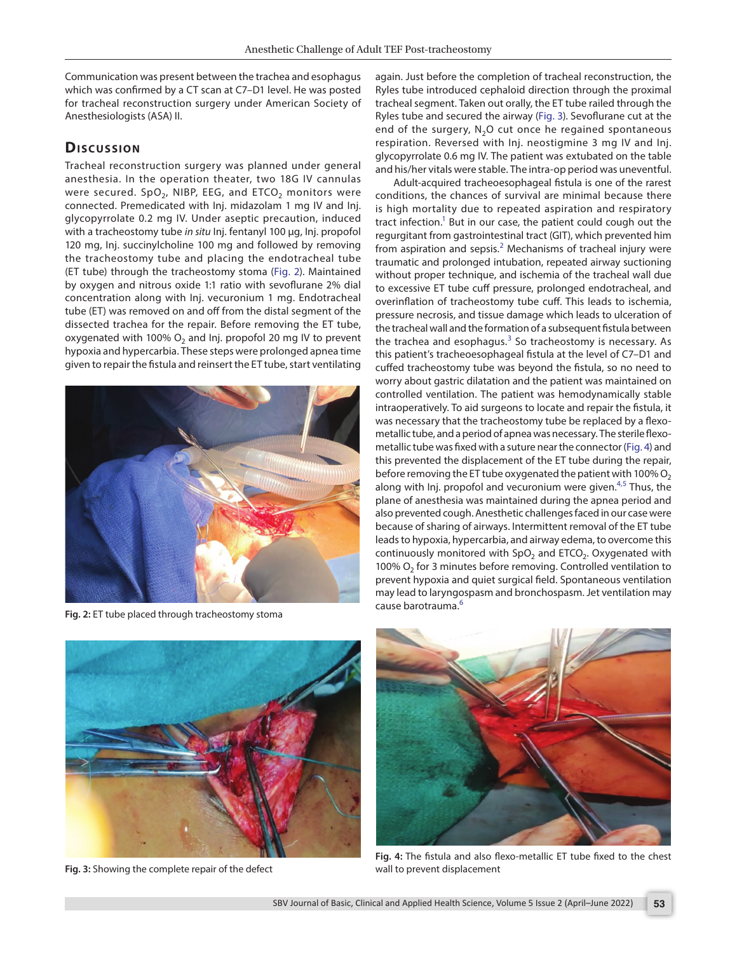Communication was present between the trachea and esophagus which was confirmed by a CT scan at C7–D1 level. He was posted for tracheal reconstruction surgery under American Society of Anesthesiologists (ASA) II.

# **Dis c u s sio n**

Tracheal reconstruction surgery was planned under general anesthesia. In the operation theater, two 18G IV cannulas were secured.  $SpO<sub>2</sub>$ , NIBP, EEG, and ETCO<sub>2</sub> monitors were connected. Premedicated with Inj. midazolam 1 mg IV and Inj. glycopyrrolate 0.2 mg IV. Under aseptic precaution, induced with a tracheostomy tube *in situ* Inj. fentanyl 100 µg, Inj. propofol 120 mg, Inj. succinylcholine 100 mg and followed by removing the tracheostomy tube and placing the endotracheal tube (ET tube) through the tracheostomy stoma ([Fig. 2\)](#page-1-0). Maintained by oxygen and nitrous oxide 1:1 ratio with sevoflurane 2% dial concentration along with Inj. vecuronium 1 mg. Endotracheal tube (ET) was removed on and off from the distal segment of the dissected trachea for the repair. Before removing the ET tube, oxygenated with 100%  $O<sub>2</sub>$  and Inj. propofol 20 mg IV to prevent hypoxia and hypercarbia. These steps were prolonged apnea time given to repair the fistula and reinsert the ET tube, start ventilating



**Fig. 2:** ET tube placed through tracheostomy stoma

again. Just before the completion of tracheal reconstruction, the Ryles tube introduced cephaloid direction through the proximal tracheal segment. Taken out orally, the ET tube railed through the Ryles tube and secured the airway ([Fig. 3\)](#page-1-1). Sevoflurane cut at the end of the surgery,  $N<sub>2</sub>O$  cut once he regained spontaneous respiration. Reversed with Inj. neostigmine 3 mg IV and Inj. glycopyrrolate 0.6 mg IV. The patient was extubated on the table and his/her vitals were stable. The intra-op period was uneventful.

Adult-acquired tracheoesophageal fistula is one of the rarest conditions, the chances of survival are minimal because there is high mortality due to repeated aspiration and respiratory tract infection.<sup>1</sup> But in our case, the patient could cough out the regurgitant from gastrointestinal tract (GIT), which prevented him from aspiration and sepsis.<sup>[2](#page-2-1)</sup> Mechanisms of tracheal injury were traumatic and prolonged intubation, repeated airway suctioning without proper technique, and ischemia of the tracheal wall due to excessive ET tube cuff pressure, prolonged endotracheal, and overinflation of tracheostomy tube cuff. This leads to ischemia, pressure necrosis, and tissue damage which leads to ulceration of the tracheal wall and the formation of a subsequent fistula between the trachea and esophagus. $3$  So tracheostomy is necessary. As this patient's tracheoesophageal fistula at the level of C7–D1 and cuffed tracheostomy tube was beyond the fistula, so no need to worry about gastric dilatation and the patient was maintained on controlled ventilation. The patient was hemodynamically stable intraoperatively. To aid surgeons to locate and repair the fistula, it was necessary that the tracheostomy tube be replaced by a flexometallic tube, and a period of apnea was necessary. The sterile flexometallic tube was fixed with a suture near the connector ([Fig. 4\)](#page-1-2) and this prevented the displacement of the ET tube during the repair, before removing the ET tube oxygenated the patient with 100%  $O<sub>2</sub>$ along with Inj. propofol and vecuronium were given.<sup>[4](#page-2-3)[,5](#page-2-4)</sup> Thus, the plane of anesthesia was maintained during the apnea period and also prevented cough. Anesthetic challenges faced in our case were because of sharing of airways. Intermittent removal of the ET tube leads to hypoxia, hypercarbia, and airway edema, to overcome this continuously monitored with  $SpO<sub>2</sub>$  and ETCO<sub>2</sub>. Oxygenated with 100%  $O<sub>2</sub>$  for 3 minutes before removing. Controlled ventilation to prevent hypoxia and quiet surgical field. Spontaneous ventilation may lead to laryngospasm and bronchospasm. Jet ventilation may cause barotrauma.[6](#page-2-5)

<span id="page-1-1"></span><span id="page-1-0"></span>

**Fig. 3:** Showing the complete repair of the defect

<span id="page-1-2"></span>

**Fig. 4:** The fistula and also flexo-metallic ET tube fixed to the chest wall to prevent displacement